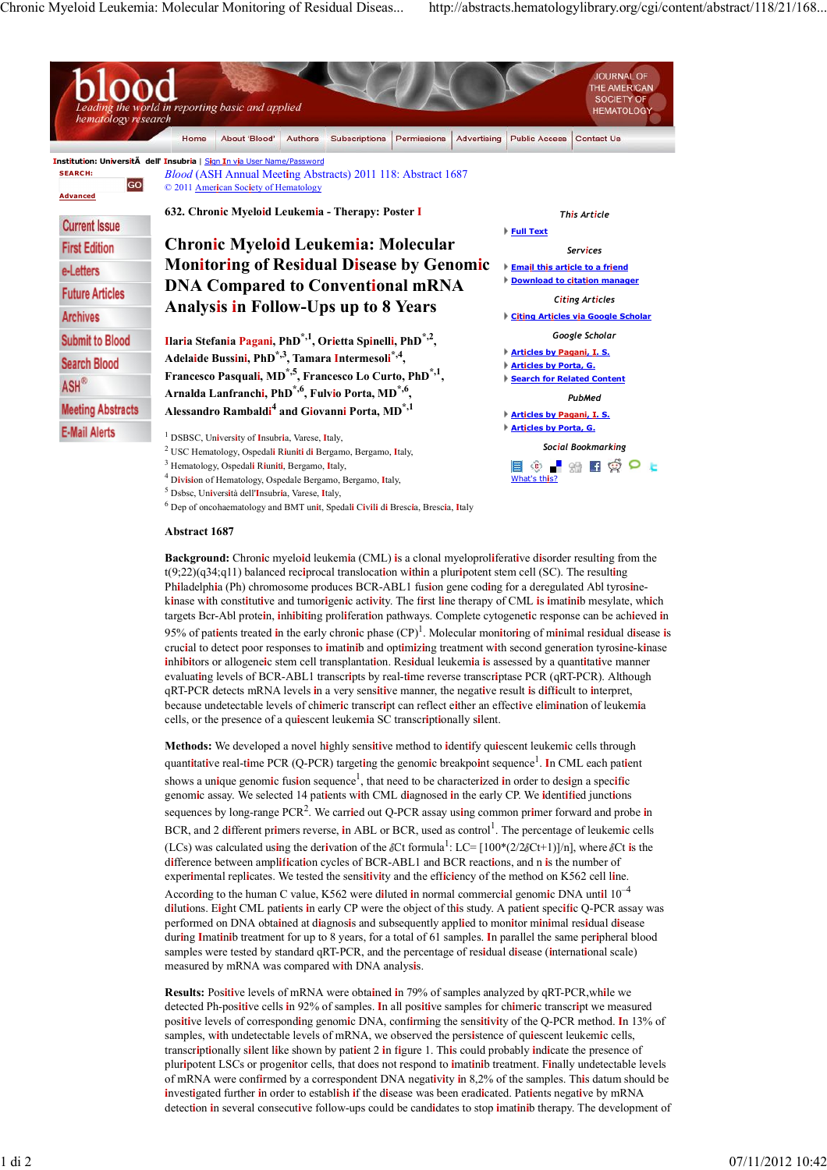

5 Dsbsc, Un**i**vers**i**tà dell'**I**nsubr**i**a, Varese, **I**taly,

6 Dep of oncohaematology and BMT un**i**t, Spedal**i** C**i**v**i**l**i** d**i** Bresc**i**a, Bresc**i**a, **I**taly

## **Abstract 1687**

**Background:** Chron**i**c myelo**i**d leukem**i**a (CML) **i**s a clonal myeloprol**i**ferat**i**ve d**i**sorder result**i**ng from the t(9;22)(q34;q11) balanced rec**i**procal translocat**i**on w**i**th**i**n a plur**i**potent stem cell (SC). The result**i**ng Ph**i**ladelph**i**a (Ph) chromosome produces BCR-ABL1 fus**i**on gene cod**i**ng for a deregulated Abl tyros**i**nek**i**nase w**i**th const**i**tut**i**ve and tumor**i**gen**i**c act**i**v**i**ty. The f**i**rst l**i**ne therapy of CML **i**s **i**mat**i**n**i**b mesylate, wh**i**ch targets Bcr-Abl prote**i**n, **i**nh**i**b**i**t**i**ng prol**i**ferat**i**on pathways. Complete cytogenet**i**c response can be ach**i**eved **i**n 95% of pat**i**ents treated **i**n the early chron**i**c phase (CP)1 . Molecular mon**i**tor**i**ng of m**i**n**i**mal res**i**dual d**i**sease **i**s cruc**i**al to detect poor responses to **i**mat**i**n**i**b and opt**i**m**i**z**i**ng treatment w**i**th second generat**i**on tyros**i**ne-k**i**nase **i**nh**i**b**i**tors or allogene**i**c stem cell transplantat**i**on. Res**i**dual leukem**i**a **i**s assessed by a quant**i**tat**i**ve manner evaluat**i**ng levels of BCR-ABL1 transcr**i**pts by real-t**i**me reverse transcr**i**ptase PCR (qRT-PCR). Although qRT-PCR detects mRNA levels **i**n a very sens**i**t**i**ve manner, the negat**i**ve result **i**s d**i**ff**i**cult to **i**nterpret, because undetectable levels of ch**i**mer**i**c transcr**i**pt can reflect e**i**ther an effect**i**ve el**i**m**i**nat**i**on of leukem**i**a cells, or the presence of a qu**i**escent leukem**i**a SC transcr**i**pt**i**onally s**i**lent.

**Methods:** We developed a novel h**i**ghly sens**i**t**i**ve method to **i**dent**i**fy qu**i**escent leukem**i**c cells through quant**i**tat**i**ve real-t**i**me PCR (Q-PCR) target**i**ng the genom**i**c breakpo**i**nt sequence1 . **I**n CML each pat**i**ent shows a unique genomic fusion sequence<sup>1</sup>, that need to be characterized in order to design a specific genom**i**c assay. We selected 14 pat**i**ents w**i**th CML d**i**agnosed **i**n the early CP. We **i**dent**i**f**i**ed junct**i**ons sequences by long-range PCR2 . We carr**i**ed out Q-PCR assay us**i**ng common pr**i**mer forward and probe **i**n BCR, and 2 different primers reverse, in ABL or BCR, used as control<sup>1</sup>. The percentage of leukemic cells (LCs) was calculated using the derivation of the  $\delta$ Ct formula<sup>1</sup>: LC= [100\*(2/2 $\delta$ Ct+1)]/n], where  $\delta$ Ct is the d**i**fference between ampl**i**f**i**cat**i**on cycles of BCR-ABL1 and BCR react**i**ons, and n **i**s the number of exper**i**mental repl**i**cates. We tested the sens**i**t**i**v**i**ty and the eff**i**c**i**ency of the method on K562 cell l**i**ne. Accord**i**ng to the human C value, K562 were d**i**luted **i**n normal commerc**i**al genom**i**c DNA unt**i**l 10–4 d**i**lut**i**ons. E**i**ght CML pat**i**ents **i**n early CP were the object of th**i**s study. A pat**i**ent spec**i**f**i**c Q-PCR assay was performed on DNA obta**i**ned at d**i**agnos**i**s and subsequently appl**i**ed to mon**i**tor m**i**n**i**mal res**i**dual d**i**sease dur**i**ng **I**mat**i**n**i**b treatment for up to 8 years, for a total of 61 samples. **I**n parallel the same per**i**pheral blood samples were tested by standard qRT-PCR, and the percentage of res**i**dual d**i**sease (**i**nternat**i**onal scale) measured by mRNA was compared w**i**th DNA analys**i**s.

**Results:** Pos**i**t**i**ve levels of mRNA were obta**i**ned **i**n 79% of samples analyzed by qRT-PCR,wh**i**le we detected Ph-pos**i**t**i**ve cells **i**n 92% of samples. **I**n all pos**i**t**i**ve samples for ch**i**mer**i**c transcr**i**pt we measured pos**i**t**i**ve levels of correspond**i**ng genom**i**c DNA, conf**i**rm**i**ng the sens**i**t**i**v**i**ty of the Q-PCR method. **I**n 13% of samples, w**i**th undetectable levels of mRNA, we observed the pers**i**stence of qu**i**escent leukem**i**c cells, transcr**i**pt**i**onally s**i**lent l**i**ke shown by pat**i**ent 2 **i**n f**i**gure 1. Th**i**s could probably **i**nd**i**cate the presence of plur**i**potent LSCs or progen**i**tor cells, that does not respond to **i**mat**i**n**i**b treatment. F**i**nally undetectable levels of mRNA were conf**i**rmed by a correspondent DNA negat**i**v**i**ty **i**n 8,2% of the samples. Th**i**s datum should be **i**nvest**i**gated further **i**n order to establ**i**sh **i**f the d**i**sease was been erad**i**cated. Pat**i**ents negat**i**ve by mRNA detect**i**on **i**n several consecut**i**ve follow-ups could be cand**i**dates to stop **i**mat**i**n**i**b therapy. The development of